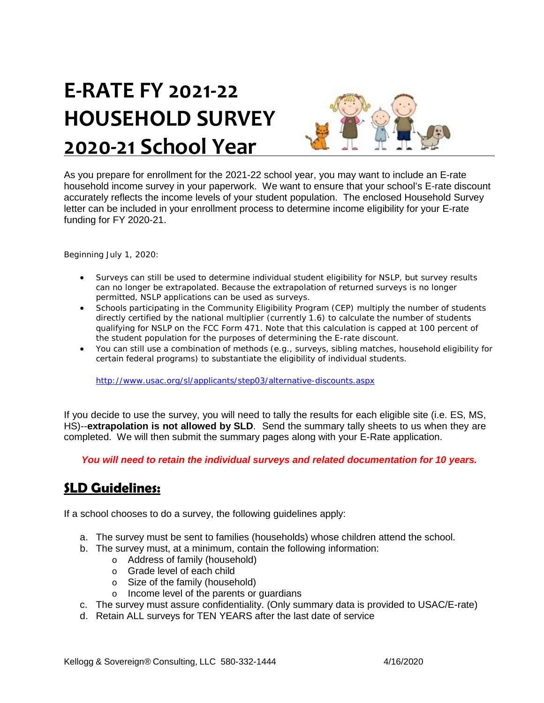# **E‐RATE FY 2021‐22 HOUSEHOLD SURVEY 2020‐21 School Year**



As you prepare for enrollment for the 2021-22 school year, you may want to include an E-rate household income survey in your paperwork. We want to ensure that your school's E-rate discount accurately reflects the income levels of your student population. The enclosed Household Survey letter can be included in your enrollment process to determine income eligibility for your E-rate funding for FY 2020-21.

Beginning July 1, 2020:

- Surveys can still be used to determine individual student eligibility for NSLP, but survey results can no longer be extrapolated. Because the extrapolation of returned surveys is no longer permitted, NSLP applications can be used as surveys.
- Schools participating in the Community Eligibility Program (CEP) multiply the number of students directly certified by the national multiplier (currently 1.6) to calculate the number of students qualifying for NSLP on the FCC Form 471. Note that this calculation is capped at 100 percent of the student population for the purposes of determining the E-rate discount.
- You can still use a combination of methods (e.g., surveys, sibling matches, household eligibility for certain federal programs) to substantiate the eligibility of individual students.

http://www.usac.org/sl/applicants/step03/alternative-discounts.aspx

If you decide to use the survey, you will need to tally the results for each eligible site (i.e. ES, MS, HS)--**extrapolation is not allowed by SLD**. Send the summary tally sheets to us when they are completed. We will then submit the summary pages along with your E-Rate application.

*You will need to retain the individual surveys and related documentation for 10 years.*

#### **SLD Guidelines:**

If a school chooses to do a survey, the following guidelines apply:

- a. The survey must be sent to families (households) whose children attend the school.
- b. The survey must, at a minimum, contain the following information:
	- o Address of family (household)
	- o Grade level of each child
	- o Size of the family (household)
	- o Income level of the parents or guardians
- c. The survey must assure confidentiality. (Only summary data is provided to USAC/E-rate)
- d. Retain ALL surveys for TEN YEARS after the last date of service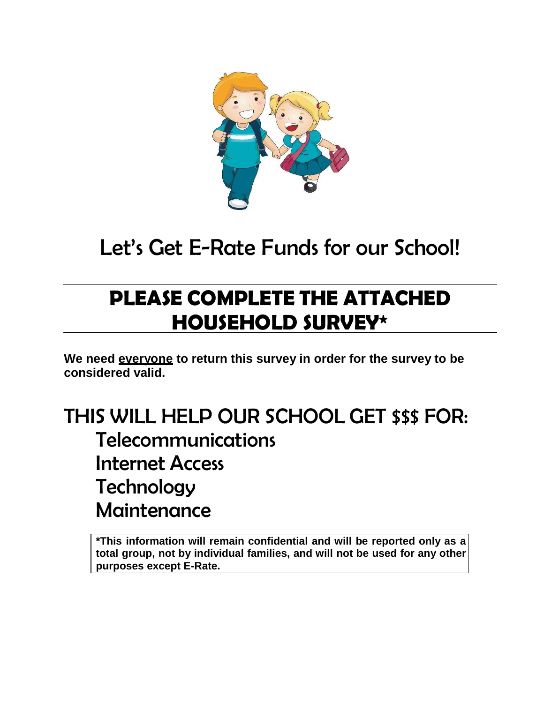

## Let's Get E-Rate Funds for our School!

## **PLEASE COMPLETE THE ATTACHED HOUSEHOLD SURVEY\***

**We need everyone to return this survey in order for the survey to be considered valid.**

### THIS WILL HELP OUR SCHOOL GET \$\$\$ FOR: Telecommunications Internet Access **Technology Maintenance**

**\*This information will remain confidential and will be reported only as a total group, not by individual families, and will not be used for any other purposes except E-Rate.**